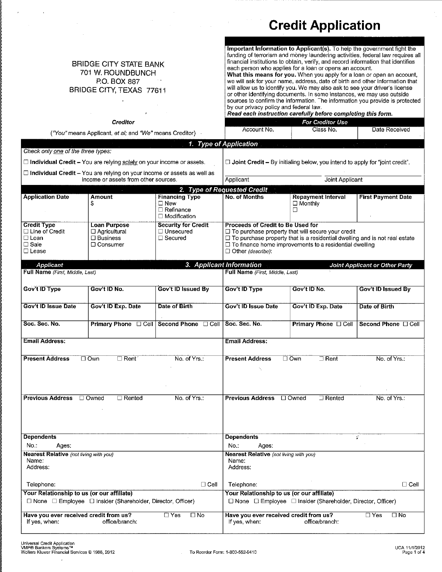## **Credit Application**

|                                                                                         | <b>BRIDGE CITY STATE BANK</b><br>701 W. ROUNDBUNCH<br>P.O. BOX 887<br>BRIDGE CITY, TEXAS 77611<br><b>Creditor</b>      |                                                                | by our privacy policy and federal law.<br>Account No.                | Important Information to Applicant(s). To help the government fight the<br>funding of terrorism and money laundering activities, federal law requires all<br>financial institutions to obtain, verify, and record information that identifies<br>each person who applies for a loan or opens an account.<br>What this means for you. When you apply for a loan or open an account,<br>we will ask for your name, address, date of birth and other information that<br>will allow us to identify you. We may also ask to see your driver's license<br>or other identifying documents. In some instances, we may use outside<br>sources to confirm the information. The information you provide is protected<br>Read each instruction carefully before completing this form.<br>For Creditor Use<br>Class No. | Date Received                  |
|-----------------------------------------------------------------------------------------|------------------------------------------------------------------------------------------------------------------------|----------------------------------------------------------------|----------------------------------------------------------------------|-------------------------------------------------------------------------------------------------------------------------------------------------------------------------------------------------------------------------------------------------------------------------------------------------------------------------------------------------------------------------------------------------------------------------------------------------------------------------------------------------------------------------------------------------------------------------------------------------------------------------------------------------------------------------------------------------------------------------------------------------------------------------------------------------------------|--------------------------------|
|                                                                                         | ("You" means Applicant, et al; and "We" means Creditor)                                                                |                                                                |                                                                      |                                                                                                                                                                                                                                                                                                                                                                                                                                                                                                                                                                                                                                                                                                                                                                                                             |                                |
| Check only one of the three types:                                                      |                                                                                                                        |                                                                | 1. Type of Application                                               |                                                                                                                                                                                                                                                                                                                                                                                                                                                                                                                                                                                                                                                                                                                                                                                                             |                                |
|                                                                                         |                                                                                                                        |                                                                |                                                                      |                                                                                                                                                                                                                                                                                                                                                                                                                                                                                                                                                                                                                                                                                                                                                                                                             |                                |
|                                                                                         | $\Box$ Individual Credit – You are relying solely on your income or assets.                                            |                                                                |                                                                      | $\Box$ Joint Credit – By initialing below, you intend to apply for "joint credit".                                                                                                                                                                                                                                                                                                                                                                                                                                                                                                                                                                                                                                                                                                                          |                                |
|                                                                                         | $\Box$ Individual Credit - You are relying on your income or assets as well as<br>income or assets from other sources. |                                                                | Applicant                                                            | Joint Applicant                                                                                                                                                                                                                                                                                                                                                                                                                                                                                                                                                                                                                                                                                                                                                                                             |                                |
|                                                                                         |                                                                                                                        |                                                                | 2. Type of Requested Credit                                          |                                                                                                                                                                                                                                                                                                                                                                                                                                                                                                                                                                                                                                                                                                                                                                                                             |                                |
| <b>Application Date</b>                                                                 | <b>Amount</b>                                                                                                          | <b>Financing Type</b>                                          | <b>No. of Months</b>                                                 | <b>Repayment Interval</b>                                                                                                                                                                                                                                                                                                                                                                                                                                                                                                                                                                                                                                                                                                                                                                                   | <b>First Payment Date</b>      |
|                                                                                         | \$                                                                                                                     | $\Box$ New<br>$\Box$ Refinance<br>$\Box$ Modification          |                                                                      | $\Box$ Monthly<br>□                                                                                                                                                                                                                                                                                                                                                                                                                                                                                                                                                                                                                                                                                                                                                                                         |                                |
| <b>Credit Type</b><br>□ Line of Credit<br>$\Box$ Loan<br>$\Box$ Sale<br>$\square$ Lease | <b>Loan Purpose</b><br>□ Agricultural<br>□ Business<br>□ Consumer                                                      | <b>Security for Credit</b><br>□ Unsecured<br>$\square$ Secured | <b>Proceeds of Credit to Be Used for</b><br>$\Box$ Other (describe): | □ To purchase property that will secure your credit<br>□ To purchase property that is a residential dwelling and is not real estate<br>$\Box$ To finance home improvements to a residential dwelling                                                                                                                                                                                                                                                                                                                                                                                                                                                                                                                                                                                                        |                                |
| Applicant                                                                               |                                                                                                                        |                                                                | 3. Applicant Information                                             |                                                                                                                                                                                                                                                                                                                                                                                                                                                                                                                                                                                                                                                                                                                                                                                                             | Joint Applicant or Other Party |
| Full Name (First, Middle, Last)                                                         |                                                                                                                        |                                                                | Full Name (First, Middle, Last)                                      |                                                                                                                                                                                                                                                                                                                                                                                                                                                                                                                                                                                                                                                                                                                                                                                                             |                                |
| Gov't ID Type                                                                           | Gov't ID No.                                                                                                           | Gov't ID Issued By                                             | Gov't ID Type                                                        | Gov't ID No.                                                                                                                                                                                                                                                                                                                                                                                                                                                                                                                                                                                                                                                                                                                                                                                                | Gov't ID Issued By             |
| <b>Gov't ID Issue Date</b>                                                              | Gov't ID Exp. Date                                                                                                     | Date of Birth                                                  | <b>Gov't ID Issue Date</b>                                           | Gov't ID Exp. Date                                                                                                                                                                                                                                                                                                                                                                                                                                                                                                                                                                                                                                                                                                                                                                                          | Date of Birth                  |
| Soc. Sec. No.                                                                           | Primary Phone <b>D</b> Cell Second Phone <b>D</b> Cell                                                                 |                                                                | Soc. Sec. No.                                                        | Primary Phone O Cell                                                                                                                                                                                                                                                                                                                                                                                                                                                                                                                                                                                                                                                                                                                                                                                        | Second Phone [ Cell            |
| <b>Email Address:</b>                                                                   |                                                                                                                        |                                                                | <b>Email Address:</b>                                                |                                                                                                                                                                                                                                                                                                                                                                                                                                                                                                                                                                                                                                                                                                                                                                                                             |                                |
| <b>Present Address</b>                                                                  | $\square$ Own<br>$\Box$ Rent                                                                                           | No. of Yrs.:                                                   | <b>Present Address</b>                                               | $\Box$ Own<br>$\Box$ Rent                                                                                                                                                                                                                                                                                                                                                                                                                                                                                                                                                                                                                                                                                                                                                                                   | No. of Yrs.:                   |
| <b>Previous Address</b>                                                                 | □ Owned<br>$\Box$ Rented                                                                                               | No. of Yrs.:                                                   | <b>Previous Address</b> □ Owned                                      | $\Box$ Rented                                                                                                                                                                                                                                                                                                                                                                                                                                                                                                                                                                                                                                                                                                                                                                                               | No. of Yrs.:                   |
| <b>Dependents</b>                                                                       |                                                                                                                        |                                                                | <b>Dependents</b>                                                    |                                                                                                                                                                                                                                                                                                                                                                                                                                                                                                                                                                                                                                                                                                                                                                                                             | Ÿ                              |
| No.:<br>Ages:                                                                           |                                                                                                                        |                                                                | No.:<br>Ages:                                                        |                                                                                                                                                                                                                                                                                                                                                                                                                                                                                                                                                                                                                                                                                                                                                                                                             |                                |
| Nearest Relative (not living with you)<br>Name:<br>Address:                             |                                                                                                                        |                                                                | Nearest Relative (not living with you)<br>Name:<br>Address:          |                                                                                                                                                                                                                                                                                                                                                                                                                                                                                                                                                                                                                                                                                                                                                                                                             |                                |
| Telephone:                                                                              |                                                                                                                        | $\Box$ Cell                                                    | Telephone:                                                           |                                                                                                                                                                                                                                                                                                                                                                                                                                                                                                                                                                                                                                                                                                                                                                                                             | $\Box$ Cell                    |
| Your Relationship to us (or our affiliate)                                              |                                                                                                                        |                                                                | Your Relationship to us (or our affiliate)                           |                                                                                                                                                                                                                                                                                                                                                                                                                                                                                                                                                                                                                                                                                                                                                                                                             |                                |
|                                                                                         | $\Box$ None $\Box$ Employee $\Box$ Insider (Shareholder, Director, Officer)                                            |                                                                |                                                                      | □ None □ Employee □ Insider (Shareholder, Director, Officer)                                                                                                                                                                                                                                                                                                                                                                                                                                                                                                                                                                                                                                                                                                                                                |                                |
| Have you ever received credit from us?<br>If yes, when:                                 | office/branch:                                                                                                         | $\square$ Yes<br>□ No                                          | Have you ever received credit from us?<br>If yes, when:              | office/branch:                                                                                                                                                                                                                                                                                                                                                                                                                                                                                                                                                                                                                                                                                                                                                                                              | $\Box$ Yes<br>$\square$ No     |

 $\pm$ 

 $\overline{\phantom{a}}$ 

 $\sim$ 

 $\sim$   $\sim$ 

 $\bar{\gamma}$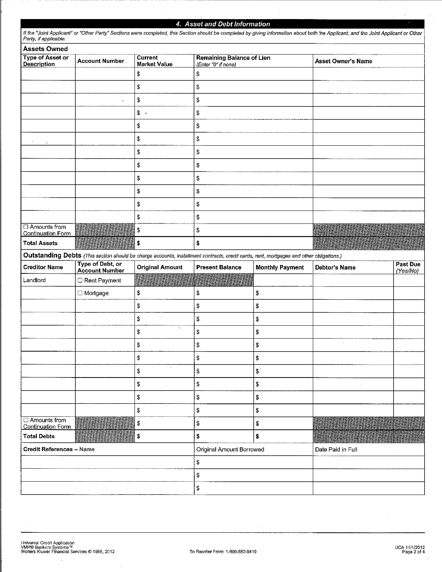## 4. Asset and Debt Information

| <b>Assets Owned</b>                                                    |                                                                                                                                         |                                       |                                                                                                                            |                        |                           |                      |
|------------------------------------------------------------------------|-----------------------------------------------------------------------------------------------------------------------------------------|---------------------------------------|----------------------------------------------------------------------------------------------------------------------------|------------------------|---------------------------|----------------------|
| <b>Type of Asset or</b><br><b>Account Number</b><br><b>Description</b> |                                                                                                                                         | <b>Current</b><br><b>Market Value</b> | <b>Remaining Balance of Lien</b><br>(Enter "0" if none)                                                                    |                        | <b>Asset Owner's Name</b> |                      |
|                                                                        |                                                                                                                                         | \$                                    | \$                                                                                                                         |                        |                           |                      |
|                                                                        |                                                                                                                                         | \$                                    | \$                                                                                                                         |                        |                           |                      |
|                                                                        | $\pmb{\kappa}$                                                                                                                          | \$                                    | \$                                                                                                                         |                        |                           |                      |
|                                                                        |                                                                                                                                         | $\frac{1}{2}$                         | \$                                                                                                                         |                        |                           |                      |
|                                                                        |                                                                                                                                         | \$                                    | \$                                                                                                                         |                        |                           |                      |
|                                                                        |                                                                                                                                         | \$                                    | \$                                                                                                                         |                        |                           |                      |
|                                                                        |                                                                                                                                         | \$                                    | \$                                                                                                                         |                        |                           |                      |
|                                                                        |                                                                                                                                         | \$                                    | \$                                                                                                                         |                        |                           |                      |
|                                                                        |                                                                                                                                         | \$                                    | \$                                                                                                                         |                        |                           |                      |
|                                                                        |                                                                                                                                         | \$                                    | \$                                                                                                                         |                        |                           |                      |
|                                                                        |                                                                                                                                         | \$                                    | \$                                                                                                                         |                        |                           |                      |
|                                                                        |                                                                                                                                         | \$                                    | $\mathbb{S}$                                                                                                               |                        |                           |                      |
| $\Box$ Amounts from<br>Continuation Form                               |                                                                                                                                         | \$                                    | \$                                                                                                                         |                        |                           |                      |
| <b>Total Assets</b>                                                    |                                                                                                                                         | \$                                    | \$                                                                                                                         |                        |                           |                      |
|                                                                        | Outstanding Debts (This section should be charge accounts, installment contracts, credit cards, rent, mortgages and other obligations.) |                                       |                                                                                                                            |                        |                           |                      |
| <b>Creditor Name</b>                                                   | <b>Type of Debt, or</b><br><b>Account Number</b>                                                                                        | <b>Original Amount</b>                | <b>Present Balance</b>                                                                                                     | <b>Monthly Payment</b> | Debtor's Name             | Past Due<br>(Yes/No) |
| Landlord                                                               | Rent Payment                                                                                                                            |                                       | <u> Timba a mata a matsayin a matsayin a matsayin a matsayin a matsayin a matsayin a matsayin a matsayin a matsayin a </u> |                        |                           |                      |
|                                                                        | □ Mortgage                                                                                                                              | \$                                    | \$                                                                                                                         | \$                     |                           |                      |
|                                                                        |                                                                                                                                         | \$                                    | \$                                                                                                                         | \$                     |                           |                      |
|                                                                        |                                                                                                                                         | \$                                    | ${\mathbb S}$                                                                                                              | \$                     | $\ddot{\phantom{a}}$      |                      |
|                                                                        |                                                                                                                                         |                                       |                                                                                                                            |                        |                           |                      |
|                                                                        |                                                                                                                                         | \$                                    | \$                                                                                                                         | \$                     |                           |                      |
|                                                                        |                                                                                                                                         | \$                                    | \$                                                                                                                         | \$                     | $\alpha$                  |                      |
|                                                                        |                                                                                                                                         | \$                                    | $\mathbb S$                                                                                                                | \$                     |                           |                      |
|                                                                        |                                                                                                                                         | ÷.<br>\$                              | \$                                                                                                                         | $\mathbb{S}^n$         |                           |                      |
|                                                                        |                                                                                                                                         | \$<br>$\alpha$                        | \$                                                                                                                         | S                      |                           |                      |
|                                                                        |                                                                                                                                         | \$                                    | ${\mathbb S}$                                                                                                              | \$                     |                           |                      |
|                                                                        |                                                                                                                                         | \$                                    | \$                                                                                                                         | S                      |                           |                      |
| □ Amounts from<br><b>Continuation Form</b>                             |                                                                                                                                         | \$                                    | \$                                                                                                                         | $\mathbb S$            |                           |                      |
| <b>Total Debts</b>                                                     |                                                                                                                                         | \$                                    | \$                                                                                                                         | \$                     |                           |                      |
| <b>Credit References - Name</b>                                        |                                                                                                                                         |                                       | Original Amount Borrowed                                                                                                   |                        | Date Paid in Full         |                      |
|                                                                        |                                                                                                                                         |                                       | $\mathbb S$                                                                                                                |                        |                           |                      |
|                                                                        |                                                                                                                                         |                                       | \$                                                                                                                         |                        |                           |                      |

 $\overline{\phantom{a}}$ 

 $\hat{\boldsymbol{\beta}}$ 

J.

 $\frac{1}{\sqrt{2}}$ 

 $\bar{z}$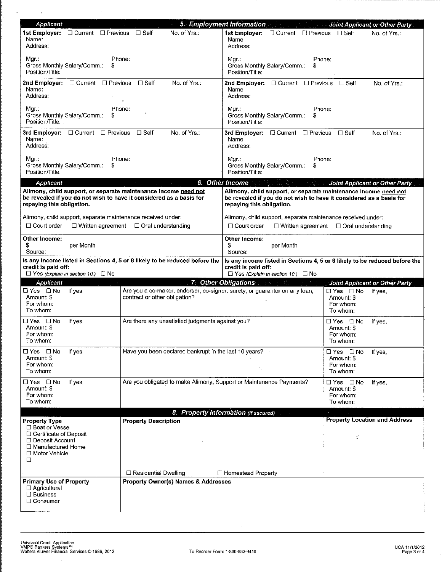| Applicant                                                                                                                                                           |                                                                                                             | 5. Employment Information                                                                                                                                                                                                      | Joint Applicant or Other Party                                         |
|---------------------------------------------------------------------------------------------------------------------------------------------------------------------|-------------------------------------------------------------------------------------------------------------|--------------------------------------------------------------------------------------------------------------------------------------------------------------------------------------------------------------------------------|------------------------------------------------------------------------|
| 1st Employer: □ Current □ Previous □ Self<br>Name:<br>Address:                                                                                                      | No. of Yrs.                                                                                                 | 1st Employer: □ Current □ Previous □ Self<br>Name:<br>Address:                                                                                                                                                                 | No. of Yrs.:                                                           |
| Mgr.:<br>Gross Monthly Salary/Comm.:<br>S<br>Position/Title:                                                                                                        | Phone:                                                                                                      | Phone:<br>Mgr.:<br>Gross Monthly Salary/Comm.:<br>J.<br>Position/Title:                                                                                                                                                        |                                                                        |
| 2nd Employer: $\Box$ Current $\Box$ Previous<br>Name:<br>Address:                                                                                                   | $\square$ Self<br>No. of Yrs.:                                                                              | 2nd Employer: □ Current □ Previous □ Self<br>Name:<br>Address:                                                                                                                                                                 | No of Yrs.:                                                            |
| Маг.:<br>Gross Monthly Salary/Comm.:<br>S<br>Position/Title:                                                                                                        | Phone:                                                                                                      | Phone:<br>Mgr.:<br>Gross Monthly Salary/Comm.:<br>Position/Title:                                                                                                                                                              |                                                                        |
| 3rd Employer: □ Current □ Previous<br>Name:<br>Address:                                                                                                             | No. of Yrs.:<br>⊟ Self                                                                                      | 3rd Employer: □ Current □ Previous<br>Name:<br>Address:                                                                                                                                                                        | $\Box$ Self<br>No. of Yrs.:                                            |
| Mgr.:<br>Gross Monthly Salary/Comm.:<br>S<br>Position/Title:                                                                                                        | Phone:                                                                                                      | Phone:<br>Mgr∴<br>Gross Monthly Salary/Comm.:<br>J.<br>Position/Title:                                                                                                                                                         |                                                                        |
| Applicant                                                                                                                                                           |                                                                                                             | 6. Other Income                                                                                                                                                                                                                | Joint Applicant or Other Party                                         |
| Alimony, child support, or separate maintenance income need not<br>be revealed if you do not wish to have it considered as a basis for<br>repaying this obligation. |                                                                                                             | Alimony, child support, or separate maintenance income need not<br>be revealed if you do not wish to have it considered as a basis for<br>repaying this obligation.                                                            |                                                                        |
| Alimony, child support, separate maintenance received under:<br>$\Box$ Court order                                                                                  | $\Box$ Written agreement $\Box$ Oral understanding                                                          | Alimony, child support, separate maintenance received under:<br>$\Box$ Court order                                                                                                                                             | $\Box$ Written agreement $\Box$ Oral understanding                     |
| Other Income:<br>\$<br>per Month<br>Source:                                                                                                                         |                                                                                                             | Other Income:<br>S<br>per Month<br>Source:                                                                                                                                                                                     |                                                                        |
| credit is paid off:<br>$\Box$ Yes (Explain in section 10.) $\Box$ No                                                                                                | Is any income listed in Sections 4, 5 or 6 likely to be reduced before the                                  | Is any income listed in Sections 4, 5 or 6 likely to be reduced before the<br>credit is paid off:<br>$\Box$ Yes (Explain in section 10.) $\Box$ No                                                                             |                                                                        |
| <b>Applicant</b>                                                                                                                                                    |                                                                                                             | 7. Other Obligations and the contract of the contract of the contract of the contract of the contract of the contract of the contract of the contract of the contract of the contract of the contract of the contract of the c | Joint Applicant or Other Party                                         |
| □ Yes □ No<br>If yes,<br>Amount: \$<br>For whom:<br>To whom:                                                                                                        | Are you a co-maker, endorser, co-signer, surety, or guarantor on any loan,<br>contract or other obligation? |                                                                                                                                                                                                                                | $\Box$ Yes $\Box$ No<br>If yes,<br>Amount: \$<br>For whom:<br>To whom: |
| ⊟Yes ⊡No<br>If yes,<br>Amount: \$<br>For whom:<br>To whom:                                                                                                          | Are there any unsatisfied judgments against you?                                                            |                                                                                                                                                                                                                                | ⊟Yes ⊡No<br>If yes,<br>Amount: \$<br>For whom:<br>To whom:             |
| □ Yes □ No<br>If yes.<br>Amount: \$<br>For whom:                                                                                                                    | Have you been declared bankrupt in the last 10 years?                                                       |                                                                                                                                                                                                                                | ⊟Yes ⊡No<br>If yes,<br>Amount: \$<br>For whom:                         |
| To whom:                                                                                                                                                            |                                                                                                             |                                                                                                                                                                                                                                | To whom:                                                               |
| □ Yes □ No<br>If yes,<br>Amount: \$<br>For whom:<br>To whom:                                                                                                        | Are you obligated to make Alimony, Support or Maintenance Payments?                                         |                                                                                                                                                                                                                                | □Yes □No<br>If yes,<br>Amount: \$<br>For whom:<br>To whom:             |
|                                                                                                                                                                     |                                                                                                             | 8. Property Information (if secured)                                                                                                                                                                                           |                                                                        |
| <b>Property Type</b><br>□ Boat or Vessel<br>□ Certificate of Deposit                                                                                                | <b>Property Description</b>                                                                                 |                                                                                                                                                                                                                                | <b>Property Location and Address</b>                                   |
| □ Deposit Account<br>□ Manufactured Home<br>□ Motor Vehicle<br>□                                                                                                    |                                                                                                             |                                                                                                                                                                                                                                | ¢.                                                                     |
|                                                                                                                                                                     | $\Box$ Residential Dwelling                                                                                 | □ Homestead Property                                                                                                                                                                                                           |                                                                        |
| <b>Primary Use of Property</b><br>□ Agricultural<br>$\Box$ Business                                                                                                 | <b>Property Owner(s) Names &amp; Addresses</b>                                                              |                                                                                                                                                                                                                                |                                                                        |
| $\Box$ Consumer                                                                                                                                                     |                                                                                                             |                                                                                                                                                                                                                                |                                                                        |

 $\overline{\phantom{a}}$ 

 $\label{eq:2.1} \frac{1}{\sqrt{2}}\int_{\mathbb{R}^{2}}\frac{1}{\sqrt{2}}\left(\frac{1}{\sqrt{2}}\right)^{2}dx\leq\frac{1}{2}\int_{\mathbb{R}^{2}}\frac{1}{\sqrt{2}}\left(\frac{1}{\sqrt{2}}\right)^{2}dx$ 

 $\sim$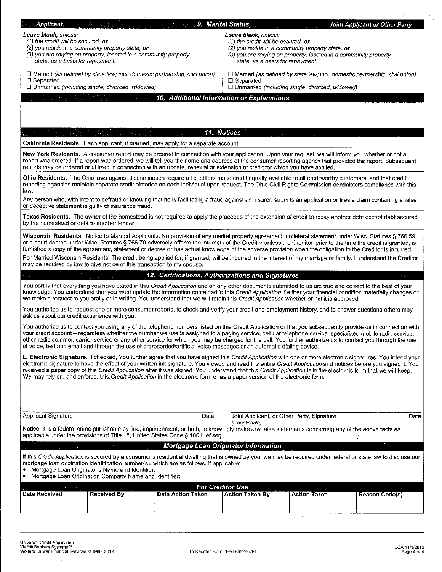| Applicant                                    |                                                                                                                                                                                                                                                                                                                                                                                                                                                                                                                                                                                                                             |                   | <b>9. Marital Status</b>                                      |                                                                                   | <b>Joint Applicant or Other Party</b> |
|----------------------------------------------|-----------------------------------------------------------------------------------------------------------------------------------------------------------------------------------------------------------------------------------------------------------------------------------------------------------------------------------------------------------------------------------------------------------------------------------------------------------------------------------------------------------------------------------------------------------------------------------------------------------------------------|-------------------|---------------------------------------------------------------|-----------------------------------------------------------------------------------|---------------------------------------|
| Leave blank, unless:                         |                                                                                                                                                                                                                                                                                                                                                                                                                                                                                                                                                                                                                             |                   | Leave blank, unless:                                          |                                                                                   |                                       |
| (1) the credit will be secured, or           | (2) you reside in a community property state, or                                                                                                                                                                                                                                                                                                                                                                                                                                                                                                                                                                            |                   | (1) the credit will be secured, or                            | (2) you reside in a community property state, or                                  |                                       |
|                                              | (3) you are relying on property, located in a community property                                                                                                                                                                                                                                                                                                                                                                                                                                                                                                                                                            |                   |                                                               | (3) you are relying on property, located in a community property                  |                                       |
| state, as a basis for repayment.             |                                                                                                                                                                                                                                                                                                                                                                                                                                                                                                                                                                                                                             |                   | state, as a basis for repayment.                              |                                                                                   |                                       |
|                                              | $\Box$ Married (as defined by state law; incl. domestic partnership, civil union)                                                                                                                                                                                                                                                                                                                                                                                                                                                                                                                                           |                   |                                                               | $\Box$ Married (as defined by state law; incl. domestic partnership, civil union) |                                       |
| $\Box$ Separated                             | □ Unmarried (including single, divorced, widowed)                                                                                                                                                                                                                                                                                                                                                                                                                                                                                                                                                                           |                   | $\Box$ Separated                                              | □ Unmarried (including single, divorced, widowed)                                 |                                       |
|                                              | 100 Hot # 1942 3 April 1943 4 The Total Act 2014                                                                                                                                                                                                                                                                                                                                                                                                                                                                                                                                                                            |                   | 10. Additional Information or Explanations                    |                                                                                   |                                       |
|                                              |                                                                                                                                                                                                                                                                                                                                                                                                                                                                                                                                                                                                                             |                   |                                                               |                                                                                   |                                       |
|                                              |                                                                                                                                                                                                                                                                                                                                                                                                                                                                                                                                                                                                                             |                   |                                                               |                                                                                   |                                       |
|                                              |                                                                                                                                                                                                                                                                                                                                                                                                                                                                                                                                                                                                                             |                   |                                                               |                                                                                   |                                       |
|                                              |                                                                                                                                                                                                                                                                                                                                                                                                                                                                                                                                                                                                                             |                   | 11. Notices                                                   |                                                                                   |                                       |
|                                              | California Residents. Each applicant, if married, may apply for a separate account.                                                                                                                                                                                                                                                                                                                                                                                                                                                                                                                                         |                   |                                                               |                                                                                   |                                       |
|                                              | New York Residents. A consumer report may be ordered in connection with your application. Upon your request, we will inform you whether or not a<br>report was ordered. If a report was ordered, we will tell you the name and address of the consumer reporting agency that provided the report. Subsequent<br>reports may be ordered or utilized in connection with an update, renewal or extension of credit for which you have applied.                                                                                                                                                                                 |                   |                                                               |                                                                                   |                                       |
| law.                                         | Ohio Residents. The Ohio laws against discrimination require all creditors make credit equally available to all creditworthy customers, and that credit<br>reporting agencies maintain separate credit histories on each individual upon request. The Ohio Civil Rights Commission administers compliance with this                                                                                                                                                                                                                                                                                                         |                   |                                                               |                                                                                   |                                       |
|                                              | Any person who, with intent to defraud or knowing that he is facilitating a fraud against an insurer, submits an application or files a claim containing a false<br>or deceptive statement is quilty of insurance fraud.                                                                                                                                                                                                                                                                                                                                                                                                    |                   |                                                               |                                                                                   |                                       |
| by the homestead or debt to another lender.  | Texas Residents. The owner of the homestead is not required to apply the proceeds of the extension of credit to repay another debt except debt secured                                                                                                                                                                                                                                                                                                                                                                                                                                                                      |                   |                                                               |                                                                                   |                                       |
|                                              | Wisconsin Residents. Notice to Married Applicants. No provision of any marital property agreement, unilateral statement under Wisc. Statutes § 766.59<br>or a court decree under Wisc. Statutes § 766.70 adversely affects the interests of the Creditor unless the Creditor, prior to the time the credit is granted, is<br>furnished a copy of the agreement, statement or decree or has actual knowledge of the adverse provision when the obligation to the Creditor is incurred.                                                                                                                                       |                   |                                                               |                                                                                   |                                       |
|                                              | For Married Wisconsin Residents. The credit being applied for, if granted, will be incurred in the interest of my marriage or family. I understand the Creditor<br>may be required by law to give notice of this transaction to my spouse.                                                                                                                                                                                                                                                                                                                                                                                  |                   |                                                               |                                                                                   |                                       |
|                                              |                                                                                                                                                                                                                                                                                                                                                                                                                                                                                                                                                                                                                             |                   |                                                               |                                                                                   |                                       |
|                                              |                                                                                                                                                                                                                                                                                                                                                                                                                                                                                                                                                                                                                             |                   | 12. Certifications, Authorizations and Signatures             |                                                                                   |                                       |
|                                              | You certify that everything you have stated in this Credit Application and on any other documents submitted to us are true and correct to the best of your<br>knowledge. You understand that you must update the information contained in this Credit Application if either your financial condition materially changes or<br>we make a request to you orally or in writing. You understand that we will retain this Credit Application whether or not it is approved.                                                                                                                                                      |                   |                                                               |                                                                                   |                                       |
| ask us about our credit experience with you. | You authorize us to request one or more consumer reports, to check and verify your credit and employment history, and to answer questions others may                                                                                                                                                                                                                                                                                                                                                                                                                                                                        |                   |                                                               |                                                                                   |                                       |
|                                              | You authorize us to contact you using any of the telephone numbers listed on this Credit Application or that you subsequently provide us in connection with<br>your credit account - regardless whether the number we use is assigned to a paging service, cellular telephone service, specialized mobile radio service,<br>other radio common carrier service or any other service for which you may be charged for the call. You further authorize us to contact you through the use<br>of voice, text and email and through the use of prerecorded/artificial voice messages or an automatic dialing device.             |                   |                                                               |                                                                                   |                                       |
|                                              | □ Electronic Signature. If checked, You further agree that you have signed this Credit Application with one or more electronic signatures. You intend your<br>electronic signature to have the effect of your written ink signature. You viewed and read the entire Credit Application and notices before you signed it. You<br>received a paper copy of this Credit Application after it was signed. You understand that this Credit Application is in the electronic form that we will keep.<br>We may rely on, and enforce, this Credit Application in the electronic form or as a paper version of the electronic form. |                   |                                                               |                                                                                   |                                       |
|                                              |                                                                                                                                                                                                                                                                                                                                                                                                                                                                                                                                                                                                                             |                   |                                                               |                                                                                   |                                       |
| <b>Applicant Signature</b>                   |                                                                                                                                                                                                                                                                                                                                                                                                                                                                                                                                                                                                                             | Date              | Joint Applicant, or Other Party, Signature<br>(if applicable) |                                                                                   | Date                                  |
|                                              | Notice: It is a federal crime punishable by fine, imprisonment, or both, to knowingly make any false statements concerning any of the above facts as<br>applicable under the provisions of Title 18, United States Code § 1001, et seq.                                                                                                                                                                                                                                                                                                                                                                                     |                   |                                                               |                                                                                   | ÿ                                     |
|                                              |                                                                                                                                                                                                                                                                                                                                                                                                                                                                                                                                                                                                                             |                   | Mortgage Loan Originator Information                          |                                                                                   |                                       |
|                                              | If this Credit Application is secured by a consumer's residential dwelling that is owned by you, we may be required under federal or state law to disclose our<br>mortgage loan origination identification number(s), which are as follows, if applicable:<br>Mortgage Loan Originator's Name and Identifier:<br>Mortgage Loan Origination Company Name and Identifier:                                                                                                                                                                                                                                                     |                   |                                                               |                                                                                   |                                       |
|                                              |                                                                                                                                                                                                                                                                                                                                                                                                                                                                                                                                                                                                                             |                   | For Creditor Use                                              |                                                                                   |                                       |
| <b>Date Received</b>                         | <b>Received By</b>                                                                                                                                                                                                                                                                                                                                                                                                                                                                                                                                                                                                          | Date Action Taken | <b>Action Taken By</b>                                        | <b>Action Taken</b>                                                               | <b>Reason Code(s)</b>                 |

 $\overline{a}$ 

 $\sim$ 

 $\epsilon$ 

 $\frac{1}{2}$ 

 $\hat{\boldsymbol{\beta}}$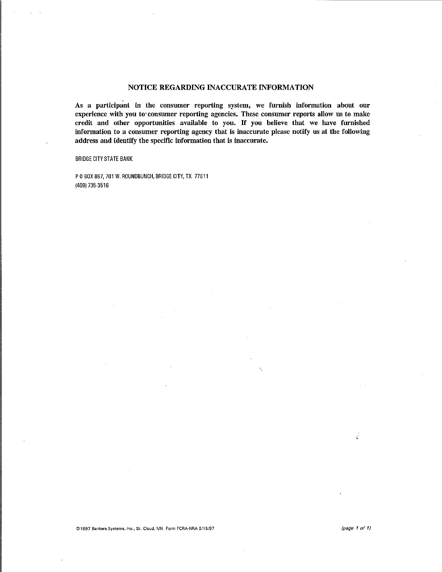## NOTICE REGARDING INACCURATE INFORMATION

As a participant in the consumer reporting system, we furnish information about our experience with you to consumer reporting agencies. These consumer reports allow us to make credit and other opportunities available to you. If you believe that we have furnished information to a consumer reporting agency that is inaccurate please notify us at the following address and identify the specific information that is inaccurate.

**BRIDGE CITY STATE BANK** 

P 0 BOX 887, 701 W. ROUNDBUNCH, BRIDGE CITY, TX 77611 (409) 735-3516

Ÿ